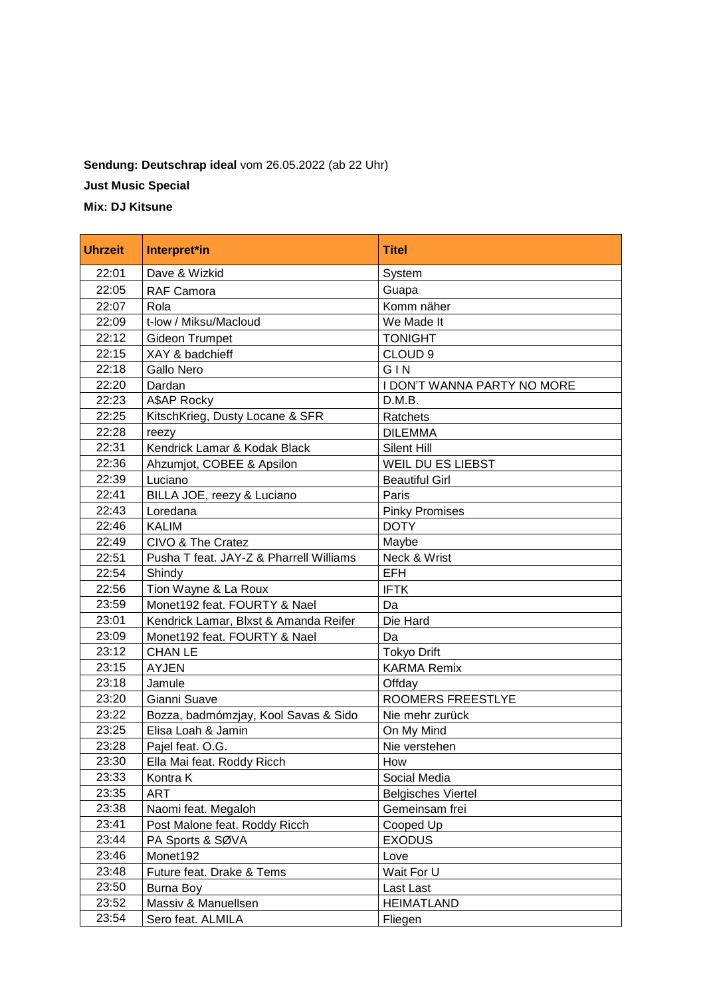## **Sendung: Deutschrap ideal** vom 26.05.2022 (ab 22 Uhr)

**Just Music Special**

**Mix: DJ Kitsune**

| <b>Uhrzeit</b> | Interpret*in                            | <b>Titel</b>                |
|----------------|-----------------------------------------|-----------------------------|
| 22:01          | Dave & Wizkid                           | System                      |
| 22:05          | RAF Camora                              | Guapa                       |
| 22:07          | Rola                                    | Komm näher                  |
| 22:09          | t-low / Miksu/Macloud                   | We Made It                  |
| 22:12          | <b>Gideon Trumpet</b>                   | <b>TONIGHT</b>              |
| 22:15          | XAY & badchieff                         | CLOUD <sub>9</sub>          |
| 22:18          | Gallo Nero                              | GIN                         |
| 22:20          | Dardan                                  | I DON'T WANNA PARTY NO MORE |
| 22:23          | A\$AP Rocky                             | D.M.B.                      |
| 22:25          | KitschKrieg, Dusty Locane & SFR         | Ratchets                    |
| 22:28          | reezy                                   | <b>DILEMMA</b>              |
| 22:31          | Kendrick Lamar & Kodak Black            | Silent Hill                 |
| 22:36          | Ahzumjot, COBEE & Apsilon               | <b>WEIL DU ES LIEBST</b>    |
| 22:39          | Luciano                                 | <b>Beautiful Girl</b>       |
| 22:41          | BILLA JOE, reezy & Luciano              | Paris                       |
| 22:43          | Loredana                                | <b>Pinky Promises</b>       |
| 22:46          | <b>KALIM</b>                            | <b>DOTY</b>                 |
| 22:49          | CIVO & The Cratez                       | Maybe                       |
| 22:51          | Pusha T feat. JAY-Z & Pharrell Williams | Neck & Wrist                |
| 22:54          | Shindy                                  | <b>EFH</b>                  |
| 22:56          | Tion Wayne & La Roux                    | <b>IFTK</b>                 |
| 23:59          | Monet192 feat. FOURTY & Nael            | Da                          |
| 23:01          | Kendrick Lamar, Blxst & Amanda Reifer   | Die Hard                    |
| 23:09          | Monet192 feat. FOURTY & Nael            | Da                          |
| 23:12          | <b>CHAN LE</b>                          | <b>Tokyo Drift</b>          |
| 23:15          | <b>AYJEN</b>                            | <b>KARMA Remix</b>          |
| 23:18          | Jamule                                  | Offday                      |
| 23:20          | Gianni Suave                            | ROOMERS FREESTLYE           |
| 23:22          | Bozza, badmómzjay, Kool Savas & Sido    | Nie mehr zurück             |
| 23:25          | Elisa Loah & Jamin                      | On My Mind                  |
| 23:28          | Pajel feat. O.G.                        | Nie verstehen               |
| 23:30          | Ella Mai feat. Roddy Ricch              | How                         |
| 23:33          | Kontra K                                | Social Media                |
| 23:35          | ART                                     | <b>Belgisches Viertel</b>   |
| 23:38          | Naomi feat. Megaloh                     | Gemeinsam frei              |
| 23:41          | Post Malone feat. Roddy Ricch           | Cooped Up                   |
| 23:44          | PA Sports & SØVA                        | <b>EXODUS</b>               |
| 23:46          | Monet192                                | Love                        |
| 23:48          | Future feat. Drake & Tems               | Wait For U                  |
| 23:50          | Burna Boy                               | Last Last                   |
| 23:52          | Massiv & Manuellsen                     | <b>HEIMATLAND</b>           |
| 23:54          | Sero feat. ALMILA                       | Fliegen                     |